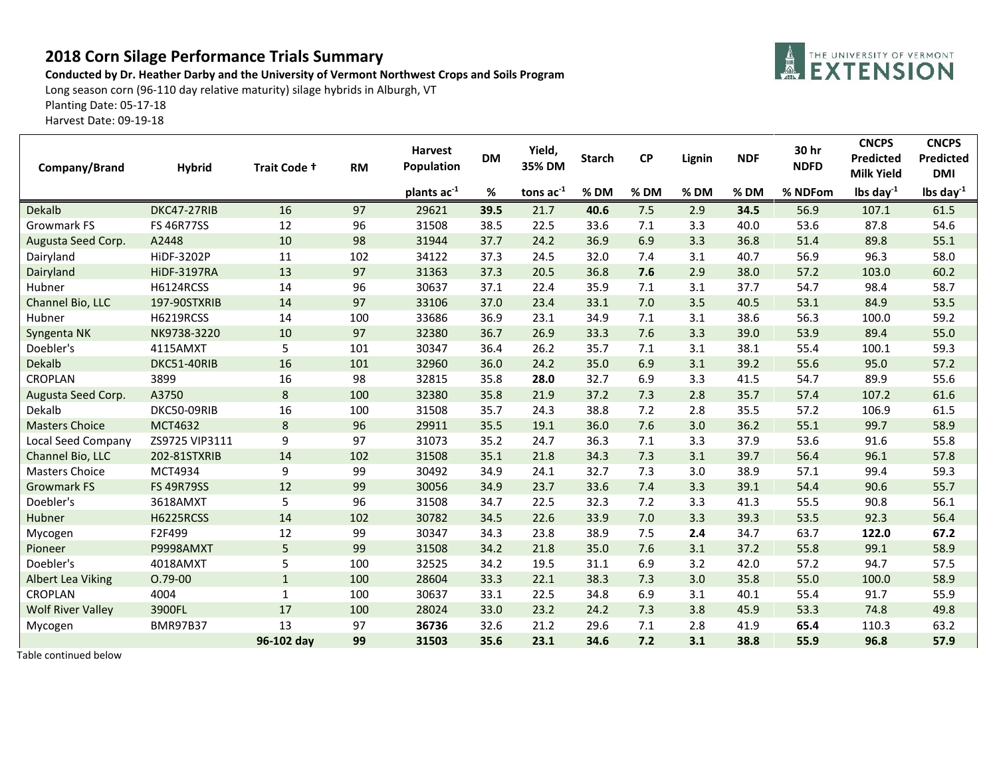## **2018 Corn Silage Performance Trials Summary**

## **Conducted by Dr. Heather Darby and the University of Vermont Northwest Crops and Soils Program**

Long season corn (96-110 day relative maturity) silage hybrids in Alburgh, VT

Planting Date: 05-17-18

Harvest Date: 09-19-18

| Company/Brand            | <b>Hybrid</b>      | Trait Code + | <b>RM</b> | <b>Harvest</b><br>Population | <b>DM</b> | Yield,<br>35% DM | <b>Starch</b> | <b>CP</b> | Lignin | <b>NDF</b> | 30 hr<br><b>NDFD</b> | <b>CNCPS</b><br>Predicted<br><b>Milk Yield</b> | <b>CNCPS</b><br>Predicted<br><b>DMI</b> |
|--------------------------|--------------------|--------------|-----------|------------------------------|-----------|------------------|---------------|-----------|--------|------------|----------------------|------------------------------------------------|-----------------------------------------|
|                          |                    |              |           | plants ac <sup>-1</sup>      | %         | tons $ac^{-1}$   | $%$ DM        | $%$ DM    | $%$ DM | % DM       | % NDFom              | lbs day $^{-1}$                                | lbs day $^{-1}$                         |
| Dekalb                   | DKC47-27RIB        | 16           | 97        | 29621                        | 39.5      | 21.7             | 40.6          | 7.5       | 2.9    | 34.5       | 56.9                 | 107.1                                          | 61.5                                    |
| <b>Growmark FS</b>       | <b>FS 46R77SS</b>  | 12           | 96        | 31508                        | 38.5      | 22.5             | 33.6          | 7.1       | 3.3    | 40.0       | 53.6                 | 87.8                                           | 54.6                                    |
| Augusta Seed Corp.       | A2448              | 10           | 98        | 31944                        | 37.7      | 24.2             | 36.9          | 6.9       | 3.3    | 36.8       | 51.4                 | 89.8                                           | 55.1                                    |
| Dairyland                | <b>HiDF-3202P</b>  | 11           | 102       | 34122                        | 37.3      | 24.5             | 32.0          | 7.4       | 3.1    | 40.7       | 56.9                 | 96.3                                           | 58.0                                    |
| Dairyland                | <b>HiDF-3197RA</b> | 13           | 97        | 31363                        | 37.3      | 20.5             | 36.8          | 7.6       | 2.9    | 38.0       | 57.2                 | 103.0                                          | 60.2                                    |
| Hubner                   | <b>H6124RCSS</b>   | 14           | 96        | 30637                        | 37.1      | 22.4             | 35.9          | 7.1       | 3.1    | 37.7       | 54.7                 | 98.4                                           | 58.7                                    |
| Channel Bio, LLC         | 197-90STXRIB       | 14           | 97        | 33106                        | 37.0      | 23.4             | 33.1          | 7.0       | 3.5    | 40.5       | 53.1                 | 84.9                                           | 53.5                                    |
| Hubner                   | H6219RCSS          | 14           | 100       | 33686                        | 36.9      | 23.1             | 34.9          | 7.1       | 3.1    | 38.6       | 56.3                 | 100.0                                          | 59.2                                    |
| Syngenta NK              | NK9738-3220        | 10           | 97        | 32380                        | 36.7      | 26.9             | 33.3          | 7.6       | 3.3    | 39.0       | 53.9                 | 89.4                                           | 55.0                                    |
| Doebler's                | 4115AMXT           | 5            | 101       | 30347                        | 36.4      | 26.2             | 35.7          | 7.1       | 3.1    | 38.1       | 55.4                 | 100.1                                          | 59.3                                    |
| <b>Dekalb</b>            | DKC51-40RIB        | 16           | 101       | 32960                        | 36.0      | 24.2             | 35.0          | 6.9       | 3.1    | 39.2       | 55.6                 | 95.0                                           | 57.2                                    |
| <b>CROPLAN</b>           | 3899               | 16           | 98        | 32815                        | 35.8      | 28.0             | 32.7          | 6.9       | 3.3    | 41.5       | 54.7                 | 89.9                                           | 55.6                                    |
| Augusta Seed Corp.       | A3750              | 8            | 100       | 32380                        | 35.8      | 21.9             | 37.2          | 7.3       | 2.8    | 35.7       | 57.4                 | 107.2                                          | 61.6                                    |
| Dekalb                   | DKC50-09RIB        | 16           | 100       | 31508                        | 35.7      | 24.3             | 38.8          | 7.2       | 2.8    | 35.5       | 57.2                 | 106.9                                          | 61.5                                    |
| <b>Masters Choice</b>    | <b>MCT4632</b>     | $\bf 8$      | 96        | 29911                        | 35.5      | 19.1             | 36.0          | 7.6       | 3.0    | 36.2       | 55.1                 | 99.7                                           | 58.9                                    |
| Local Seed Company       | ZS9725 VIP3111     | 9            | 97        | 31073                        | 35.2      | 24.7             | 36.3          | 7.1       | 3.3    | 37.9       | 53.6                 | 91.6                                           | 55.8                                    |
| Channel Bio, LLC         | 202-81STXRIB       | 14           | 102       | 31508                        | 35.1      | 21.8             | 34.3          | 7.3       | 3.1    | 39.7       | 56.4                 | 96.1                                           | 57.8                                    |
| <b>Masters Choice</b>    | MCT4934            | 9            | 99        | 30492                        | 34.9      | 24.1             | 32.7          | 7.3       | 3.0    | 38.9       | 57.1                 | 99.4                                           | 59.3                                    |
| <b>Growmark FS</b>       | <b>FS 49R79SS</b>  | 12           | 99        | 30056                        | 34.9      | 23.7             | 33.6          | 7.4       | 3.3    | 39.1       | 54.4                 | 90.6                                           | 55.7                                    |
| Doebler's                | 3618AMXT           | 5            | 96        | 31508                        | 34.7      | 22.5             | 32.3          | 7.2       | 3.3    | 41.3       | 55.5                 | 90.8                                           | 56.1                                    |
| Hubner                   | <b>H6225RCSS</b>   | 14           | 102       | 30782                        | 34.5      | 22.6             | 33.9          | 7.0       | 3.3    | 39.3       | 53.5                 | 92.3                                           | 56.4                                    |
| Mycogen                  | F2F499             | 12           | 99        | 30347                        | 34.3      | 23.8             | 38.9          | 7.5       | 2.4    | 34.7       | 63.7                 | 122.0                                          | 67.2                                    |
| Pioneer                  | P9998AMXT          | 5            | 99        | 31508                        | 34.2      | 21.8             | 35.0          | 7.6       | 3.1    | 37.2       | 55.8                 | 99.1                                           | 58.9                                    |
| Doebler's                | 4018AMXT           | 5            | 100       | 32525                        | 34.2      | 19.5             | 31.1          | 6.9       | 3.2    | 42.0       | 57.2                 | 94.7                                           | 57.5                                    |
| <b>Albert Lea Viking</b> | $0.79 - 00$        | $1\,$        | 100       | 28604                        | 33.3      | 22.1             | 38.3          | 7.3       | 3.0    | 35.8       | 55.0                 | 100.0                                          | 58.9                                    |
| <b>CROPLAN</b>           | 4004               | $\mathbf 1$  | 100       | 30637                        | 33.1      | 22.5             | 34.8          | 6.9       | 3.1    | 40.1       | 55.4                 | 91.7                                           | 55.9                                    |
| <b>Wolf River Valley</b> | 3900FL             | 17           | 100       | 28024                        | 33.0      | 23.2             | 24.2          | 7.3       | 3.8    | 45.9       | 53.3                 | 74.8                                           | 49.8                                    |
| Mycogen                  | <b>BMR97B37</b>    | 13           | 97        | 36736                        | 32.6      | 21.2             | 29.6          | 7.1       | 2.8    | 41.9       | 65.4                 | 110.3                                          | 63.2                                    |
|                          |                    | 96-102 day   | 99        | 31503                        | 35.6      | 23.1             | 34.6          | 7.2       | 3.1    | 38.8       | 55.9                 | 96.8                                           | 57.9                                    |

Table continued below

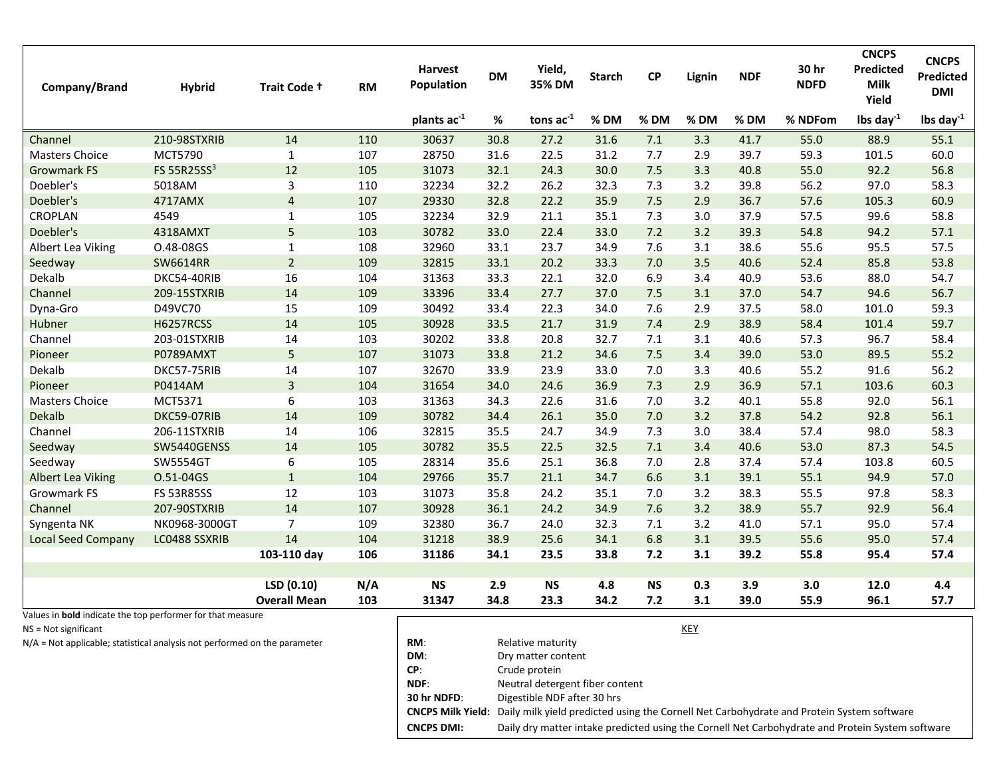| Company/Brand                                                     | <b>Hybrid</b>           | Trait Code +        | <b>RM</b> | <b>Harvest</b><br>Population | <b>DM</b> | Yield,<br>35% DM | <b>Starch</b> | CP        | Lignin | <b>NDF</b> | 30 hr<br><b>NDFD</b> | <b>CNCPS</b><br>Predicted<br><b>Milk</b><br>Yield | <b>CNCPS</b><br>Predicted<br><b>DMI</b> |
|-------------------------------------------------------------------|-------------------------|---------------------|-----------|------------------------------|-----------|------------------|---------------|-----------|--------|------------|----------------------|---------------------------------------------------|-----------------------------------------|
|                                                                   |                         |                     |           | plants ac-1                  | %         | tons $ac^{-1}$   | % DM          | $%$ DM    | $%$ DM | % DM       | % NDFom              | lbs day $^{-1}$                                   | lbs day $^{-1}$                         |
| Channel                                                           | 210-98STXRIB            | 14                  | 110       | 30637                        | 30.8      | 27.2             | 31.6          | $7.1$     | 3.3    | 41.7       | 55.0                 | 88.9                                              | 55.1                                    |
| <b>Masters Choice</b>                                             | MCT5790                 | $\mathbf{1}$        | 107       | 28750                        | 31.6      | 22.5             | 31.2          | 7.7       | 2.9    | 39.7       | 59.3                 | 101.5                                             | 60.0                                    |
| <b>Growmark FS</b>                                                | FS 55R25SS <sup>3</sup> | 12                  | 105       | 31073                        | 32.1      | 24.3             | 30.0          | 7.5       | 3.3    | 40.8       | 55.0                 | 92.2                                              | 56.8                                    |
| Doebler's                                                         | 5018AM                  | 3                   | 110       | 32234                        | 32.2      | 26.2             | 32.3          | 7.3       | 3.2    | 39.8       | 56.2                 | 97.0                                              | 58.3                                    |
| Doebler's                                                         | 4717AMX                 | $\overline{4}$      | 107       | 29330                        | 32.8      | 22.2             | 35.9          | 7.5       | 2.9    | 36.7       | 57.6                 | 105.3                                             | 60.9                                    |
| CROPLAN                                                           | 4549                    | $\mathbf{1}$        | 105       | 32234                        | 32.9      | 21.1             | 35.1          | 7.3       | 3.0    | 37.9       | 57.5                 | 99.6                                              | 58.8                                    |
| Doebler's                                                         | 4318AMXT                | 5                   | 103       | 30782                        | 33.0      | 22.4             | 33.0          | 7.2       | 3.2    | 39.3       | 54.8                 | 94.2                                              | 57.1                                    |
| Albert Lea Viking                                                 | 0.48-08GS               | $\mathbf{1}$        | 108       | 32960                        | 33.1      | 23.7             | 34.9          | 7.6       | 3.1    | 38.6       | 55.6                 | 95.5                                              | 57.5                                    |
| Seedway                                                           | <b>SW6614RR</b>         | $\overline{2}$      | 109       | 32815                        | 33.1      | 20.2             | 33.3          | 7.0       | 3.5    | 40.6       | 52.4                 | 85.8                                              | 53.8                                    |
| Dekalb                                                            | DKC54-40RIB             | 16                  | 104       | 31363                        | 33.3      | 22.1             | 32.0          | 6.9       | 3.4    | 40.9       | 53.6                 | 88.0                                              | 54.7                                    |
| Channel                                                           | 209-15STXRIB            | 14                  | 109       | 33396                        | 33.4      | 27.7             | 37.0          | 7.5       | 3.1    | 37.0       | 54.7                 | 94.6                                              | 56.7                                    |
| Dyna-Gro                                                          | D49VC70                 | 15                  | 109       | 30492                        | 33.4      | 22.3             | 34.0          | 7.6       | 2.9    | 37.5       | 58.0                 | 101.0                                             | 59.3                                    |
| Hubner                                                            | <b>H6257RCSS</b>        | 14                  | 105       | 30928                        | 33.5      | 21.7             | 31.9          | 7.4       | 2.9    | 38.9       | 58.4                 | 101.4                                             | 59.7                                    |
| Channel                                                           | 203-01STXRIB            | 14                  | 103       | 30202                        | 33.8      | 20.8             | 32.7          | 7.1       | 3.1    | 40.6       | 57.3                 | 96.7                                              | 58.4                                    |
| Pioneer                                                           | P0789AMXT               | 5                   | 107       | 31073                        | 33.8      | 21.2             | 34.6          | 7.5       | 3.4    | 39.0       | 53.0                 | 89.5                                              | 55.2                                    |
| Dekalb                                                            | DKC57-75RIB             | 14                  | 107       | 32670                        | 33.9      | 23.9             | 33.0          | 7.0       | 3.3    | 40.6       | 55.2                 | 91.6                                              | 56.2                                    |
| Pioneer                                                           | P0414AM                 | $\overline{3}$      | 104       | 31654                        | 34.0      | 24.6             | 36.9          | 7.3       | 2.9    | 36.9       | 57.1                 | 103.6                                             | 60.3                                    |
| <b>Masters Choice</b>                                             | <b>MCT5371</b>          | 6                   | 103       | 31363                        | 34.3      | 22.6             | 31.6          | 7.0       | 3.2    | 40.1       | 55.8                 | 92.0                                              | 56.1                                    |
| Dekalb                                                            | DKC59-07RIB             | 14                  | 109       | 30782                        | 34.4      | 26.1             | 35.0          | 7.0       | 3.2    | 37.8       | 54.2                 | 92.8                                              | 56.1                                    |
| Channel                                                           | 206-11STXRIB            | 14                  | 106       | 32815                        | 35.5      | 24.7             | 34.9          | 7.3       | 3.0    | 38.4       | 57.4                 | 98.0                                              | 58.3                                    |
| Seedway                                                           | SW5440GENSS             | 14                  | 105       | 30782                        | 35.5      | 22.5             | 32.5          | 7.1       | 3.4    | 40.6       | 53.0                 | 87.3                                              | 54.5                                    |
| Seedway                                                           | SW5554GT                | 6                   | 105       | 28314                        | 35.6      | 25.1             | 36.8          | 7.0       | 2.8    | 37.4       | 57.4                 | 103.8                                             | 60.5                                    |
| <b>Albert Lea Viking</b>                                          | O.51-04GS               | $\mathbf{1}$        | 104       | 29766                        | 35.7      | 21.1             | 34.7          | 6.6       | 3.1    | 39.1       | 55.1                 | 94.9                                              | 57.0                                    |
| Growmark FS                                                       | <b>FS 53R85SS</b>       | 12                  | 103       | 31073                        | 35.8      | 24.2             | 35.1          | 7.0       | 3.2    | 38.3       | 55.5                 | 97.8                                              | 58.3                                    |
| Channel                                                           | 207-90STXRIB            | 14                  | 107       | 30928                        | 36.1      | 24.2             | 34.9          | 7.6       | 3.2    | 38.9       | 55.7                 | 92.9                                              | 56.4                                    |
| Syngenta NK                                                       | NK0968-3000GT           | $\overline{7}$      | 109       | 32380                        | 36.7      | 24.0             | 32.3          | 7.1       | 3.2    | 41.0       | 57.1                 | 95.0                                              | 57.4                                    |
| <b>Local Seed Company</b>                                         | LC0488 SSXRIB           | 14                  | 104       | 31218                        | 38.9      | 25.6             | 34.1          | 6.8       | 3.1    | 39.5       | 55.6                 | 95.0                                              | 57.4                                    |
|                                                                   |                         | 103-110 day         | 106       | 31186                        | 34.1      | 23.5             | 33.8          | 7.2       | 3.1    | 39.2       | 55.8                 | 95.4                                              | 57.4                                    |
|                                                                   |                         |                     |           |                              |           |                  |               |           |        |            |                      |                                                   |                                         |
|                                                                   |                         | LSD (0.10)          | N/A       | <b>NS</b>                    | 2.9       | <b>NS</b>        | 4.8           | <b>NS</b> | 0.3    | 3.9        | 3.0                  | 12.0                                              | 4.4                                     |
|                                                                   |                         | <b>Overall Mean</b> | 103       | 31347                        | 34.8      | 23.3             | 34.2          | 7.2       | 3.1    | 39.0       | 55.9                 | 96.1                                              | 57.7                                    |
| Values in <b>bold</b> indicate the top performer for that measure |                         |                     |           |                              |           |                  |               |           |        |            |                      |                                                   |                                         |

NS = Not significant

N/A = Not applicable; statistical analysis not performed on the parameter

|                   | KEY                                                                                                                |
|-------------------|--------------------------------------------------------------------------------------------------------------------|
| RM:               | Relative maturity                                                                                                  |
| DM:               | Dry matter content                                                                                                 |
| CP:               | Crude protein                                                                                                      |
| NDF:              | Neutral detergent fiber content                                                                                    |
| 30 hr NDFD:       | Digestible NDF after 30 hrs                                                                                        |
|                   | <b>CNCPS Milk Yield:</b> Daily milk yield predicted using the Cornell Net Carbohydrate and Protein System software |
| <b>CNCPS DMI:</b> | Daily dry matter intake predicted using the Cornell Net Carbohydrate and Protein System software                   |